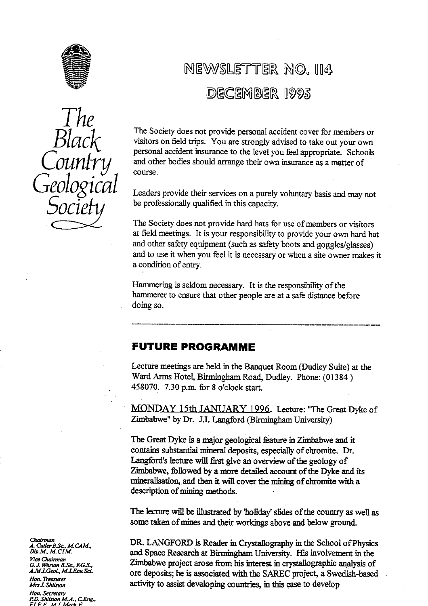



## NEWSLETTER NO. 114 DECEMBER 1995

The Society does not provide personal accident cover for members or visitors on **field** trips. You are strongly advised to take out your own personal accident insurance to the Ievel you feel appropriate. Schools and other bodies should arrange their own insurance as a matter of course.

Leaders provide their services on a purely voluntary basis and may not be professionally qualified in this capacity.

The Society does not provide hard hats for use of mem**be**rs or visitors at field meetings. It is your responsibility to provide your own hard hat and other safety equipment (such as safety boots and goggles/glasses) and to use it when you feel it is necessary or when a site owner makes it a condition of entry.

Hammering is seldom necessary. It is the responsibility of the hammerer to ensure that other people are at a safe distance before doing so.

## FUTURE PROGRAMME

Lecture meetings are held in the Banquet Room (Dudley Suite) at the Ward Arms Hotel, Birmingham Road, Dudley. Phone: **(01384)** 458070. 7.30 p.**m.** for 8 o'clock sta**rt**.

**MONDAY** 15th JANUARY **1996.** Lecture: "The Great Dyke of Zimbabwe" by Dr. J.I. Langford (Birmingham University)

The Great Dyke is a major geological feature in Zimbabwe and it contains substantial mineral deposits, especially of chromite. Dr. Langford's Iecture will first give an overview of the geology of Zimbabwe, followed by a more detailed account of the Dyke and its mineralisation, and then it will cover the mining of chromite with a description of mining methods.

The lecture will be illustrated by 'holiday slides of the country as well as some taken of mines and their workings above and **be**low ground.

*A. CwIerB.S`c, M.CAM..* DR LANGFORD is Reader in Crystallography m the School of Ph*y* sics *Dip.M., M.CIM.* and Space Research at Birmingham University. His involvement in the *c. J. Worton B.Sc., F.G.S.*<br>*G. J. Worton B.Sc., F.G.S.*<br>*A.M.I.Geol., M.I.Env.Sci. Porton are also are denosits: he is associated with the SARFC project a Swedish-based* ore deposits; he is associated with the SAREC project, a Swedish-based activity to assist developing countries, in this case to develop

Chairman<br>A. Cutler L *7ce* **G.** *° `n"Q"*

*Hon. Treasurer*

Hon. Secretary<br>P.D. Shilston M.A., C.Eng.,<br>F.I.E.E., M.I. Mech.E.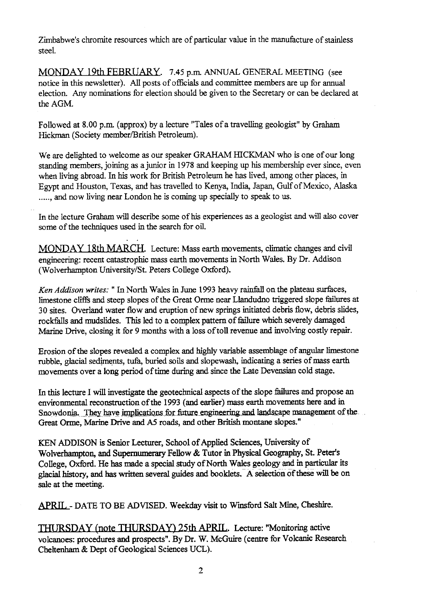Zimbabwe's chromite resources which are of particular value in the manufacture of stainless steel.

MONDAY 19th FEBRUARY. 7.45 p.m. ANNUAL GENERAL MEETING (see notice in this newsletter). All posts of officials and committee members are up for annual election. Any nominations for election should be given to the Secretary or can be declared at the AGM.

Followed at 8.00 p.m. (approx) by a lecture "Tales of a travelling geologist" by Graham Hickman (Society member/British Petroleum).

We are delighted to welcome as our speaker GRAHAM HICKMAN who is one of our long standing members, joining as a junior in 1978 and keeping up his membership ever since, even when living abroad. In his work for British Petroleum he has lived, among other places, in Egypt and Houston. Texas, and has travelled to Kenya, India, Japan, Gulf of Mexico, Alaska ......, and now living near London he is coming up specially to speak to us.

In the lecture Graham will describe some of his experiences as a geologist and will also cover some of the techniques used in the search for oil.

MONDAY 18th MARCH. Lecture: Mass earth movements, climatic changes and civil engineering: recent catastrophic mass earth movements in North Wales. By Dr. Addison (Wolverhampton University/St. Peters College Oxford).

*Ken Addison writes: "In* North Wales in June 1993 heavy rainfall on the plateau surfaces, limestone cliffs and steep slopes of the Great Orme near Llandudno triggered slope failures at 30 sites. Overland water flow and eruption of new springs initiated debris flow, debris slides, rockfalls and mudslides. This led to a complex pattern of failure which severely damaged Marine Drive, closing it for 9 months with a loss of toll revenue and involving costly repair.

Erosion of the slopes revealed a complex and highly variable assemblage of angular limestone rubble, glacial sediments, tufa, buried soils and slopewash, indicating a series of mass earth movements over a long period of time during and since the Late Devensian cold stage.

In this lecture I will investigate the geotechnical aspects of the slope failures and propose an environmental reconstruction of the 1993 (and earlier) mass earth movements here and in Snowdonia. They have implications for future engineering and landscape management of the Great Orme, Marine Drive and AS roads, and other British montane slopes."

KEN ADDISON is Senior Lecturer, School of Applied Sciences, University of Wolverhampton, and Supernumerary Fellow & Tutor in Physical Geography, St. Peter's College, Oxford. He has made a special study of North Wales geology and in particular its glacial history, and has written several guides and booklets. A selection of these will be on sale at the meeting.

APRIL- DATE TO **BE** ADVISED. Weekday visit to Winsford Salt Mine, Cheshire.

THURSDAY (note THURSDAY) 25th APRIL. Lecture: "Monitoring active volcanoes: procedures and prospects". By Dr. W. McGuire (centre for Volcanic Research Cheltenham & Dept of Geological Sciences UCL).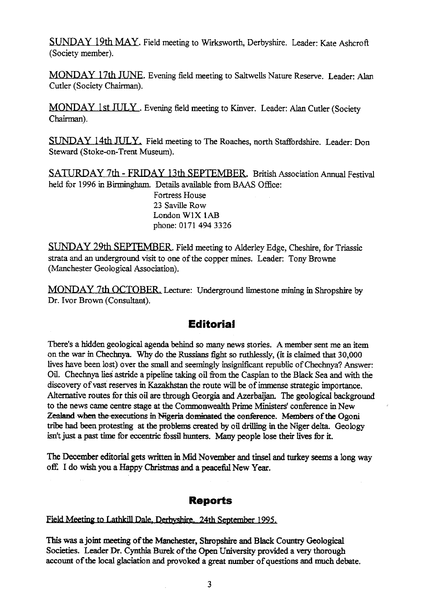SUNDAY 19th MAY Field meeting to Wirksworth, Derbyshire. Leader: Kate Ashcroft (Society member).

MONDAY 17th JUNE. Evening field meeting to Saltwells Nature Reserve. Leader: Alan Cutler (Society Chairman).

MONDAY 1st JULY. Evening field meeting to Kinver. Leader: Alan Cutler (Society Chairman).

SUNDAY 14th JULY. Field meeting to The Roaches, north Staffordshire. Leader: Don Steward (Stoke-on-Trent Museum).

SATURDAY 7th - FRIDAY 13th SEPTEMBER. British Association Annual Festival held for 1996 in Birmingham. Details available from BAAS Office:

> Fortress House 23 Saville Row London W1X lAB phone: 0171 494 3326

SUNDAY 29th SEPTEMBER. Field meeting to Alderley Edge, Cheshire, for Triassic strata and an underground visit to one of the copper mines. Leader: Tony Browne (Manchester Geological Association).

MONDAY 7th OCTOBER. Lecture: Underground limestone mining in Shropshire by Dr. Ivor Brown (Consultant).

## **Editorial**

There's a hidden geological agenda behind so many news stories. A member sent me an item on the war in Chechnya. Why do the Russians fight so ruthlessly, (it is claimed that 30,000 lives have been lost) over the small and seemingly insignificant republic of Chechnya? Answer: Oil. Chechnya lies astride a pipeline taking oil from the Caspian to the Black Sea and with the discovery of vast reserves in Kazakhstan the route will be of immense strategic importance. Alternative routes for this oil are through Georgia and Azerbaijan. The geological background to the news came centre stage at the Commonwealth Prime Ministers' conference in New Zealand when the executions in Nigeria dominated the conference. Members of the Ogoni tribe had been protesting at the problems created by oil drilling in the Niger delta. Geology isn't just a past time for eccentric fossil hunters. Many people lose their lives for it.

The December editorial gets written in Mid November and tinsel and turkey seems a long way *WE I do wish you a* Happy Christmas and a peacefid New Year.

### **Reports**

### Field Meeting to Lathkill Dale, Derbyshire. 24th September 1995.

This was a joint meeting of the Manchester, Shropshire and Black Country Geological Societies. Leader Dr. Cynthia Burek of the Open University provided a very thorough account of the local glaciation and provoked a great number of questions and much debate.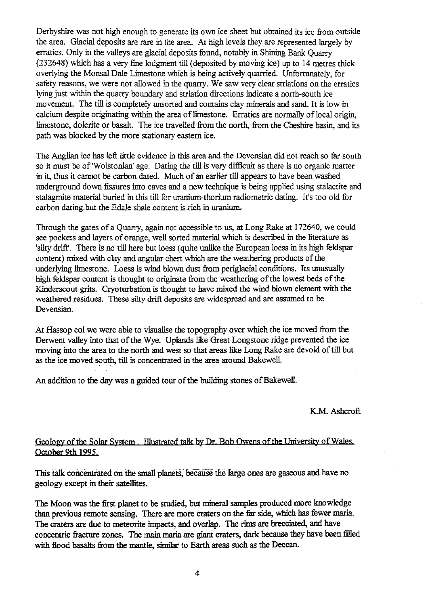Derbyshire was not high enough to generate its own ice sheet but obtained its ice from outside the area. Glacial deposits are rare in the area. At high levels they are represented largely by erratics. Only in the valleys are glacial deposits found, notably in Shining Bank Quarry (232648) which has a very fine lodgment till (deposited by moving ice) up to 14 metres thick overlying the Monsal Dale Limestone which is being actively quarried. Unfortunately, for safety reasons, we were not allowed in the quarry. We saw very clear striations on the erratics lying just within the quarry boundary and striation directions indicate a north-south ice movement. The till is completely unsorted and contains clay minerals and sand. It is low in calcium despite originating within the area of limestone. Erratics are normally of local origin, limestone, dolerite or basalt. The ice travelled from the north, from the Cheshire basin, and its path was blocked by the more stationary eastern ice.

The Anglian ice has left little evidence in this area and the Devensian did not reach so far south so it must be of Wolstonian' age. Dating the till is very difficult as there is no organic matter in it, thus it cannot be carbon dated. Much of an earlier till appears to have been washed underground down fissures into caves and a new technique is being applied using stalactite and stalagmite material buried in this till for uranium-thorium radiometric dating. It's too old for carbon dating but the Edale shale content is rich in uranium.

Through the gates of a Quarry, again not accessible to us, at Long Rake at 172640, we could see pockets and layers of orange, well sorted material which is described in the literature as 'silty drift'. There is no till here but loess (quite unlike the European loess in its high feldspar content) mixed with clay and angular chert which are the weathering products of the underlying **limestone. Loess is** wind blown dust from periglacial conditions. Its unusually high feldspar content is thought to originate from the weathering of the lowest beds of the Kinderscout grits. Cryoturbation is thought to have mixed the wind blown element with the weathered residues. These silty drift deposits are widespread and are assumed to be Devensian.

At Hassop col we were able to visualise the topography over which the ice moved from the Derwent valley into that of the Wye. Uplands like Great Longstone ridge prevented the ice moving into the area to the north and west so that areas like Long Rake are devoid of till but as the ice moved south, till is concentrated in the area around Bakewell.

An addition to the day was a guided tour of the building stones of BakewelI.

#### K.M. Ashcroft

### Geology of the Solar System. Illustrated talk by Dr. Bob Owens of the University of Wales. October 9th 1995.

This talk concentrated on the small planets, because the large ones are gaseous and have no geology except in their satellites.

The Moon was the first planet to be studied, but mineral samples produced more knowledge than previous remote sensing. There are more craters on the far side, which has fewer mania. The craters are due to meteorite impacts, and overlap. The rims are brecciated, and have concentric fracture zones. The main maria are giant craters, dark because they have been filled with flood basalts from the mantle, similar to Earth areas such as the Deccan.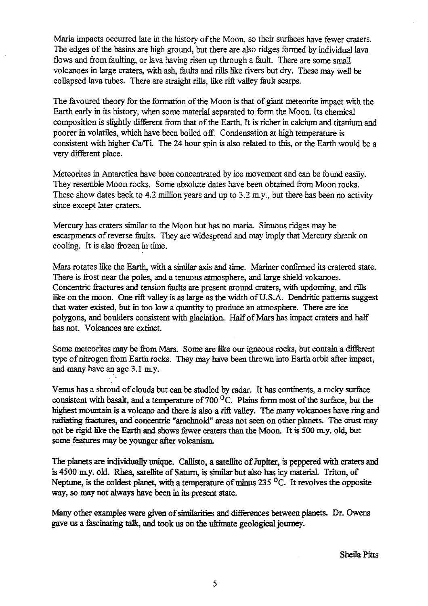Maria impacts occurred late in the history of the Moon, so their surfaces have fewer craters. The edges of the basins are high ground, but there are also ridges formed by individual lava flows and from faulting, or lava having risen up through a fault. There are some small volcanoes in large craters, with ash, faults and rills like rivers but dry. These may well be collapsed lava tubes. There are straight rills, like rift valley fault scarps.

The favoured theory for the formation of the Moon is that of giant meteorite impact with the Earth early in its history, when some material separated to form the Moon. Its chemical composition is slightly different from that of the Earth. It is richer in calcium and titanium and poorer in volatiles, which have been boiled off. Condensation at high temperature is consistent with higher Ca/Ti. The 24 hour spin is also related to this, or the Earth would be a very different place.

Meteorites in Antarctica have been concentrated by ice movement and can be found easily. They resemble Moon rocks. Some absolute dates have been obtained from Moon rocks. These show dates back to 4.2 million years and up to 3.2 m.y., but there has been no activity since except later craters.

Mercury has craters similar to the Moon but has no maria. Sinuous ridges may be escarpments of reverse faults. They are widespread and may imply that Mercury shrank on cooling. It is also frozen in time.

Mars rotates like the Earth, with a similar axis and time. Mariner confrmed its cratered state. There is frost near the poles, and a tenuous atmosphere, and large shield volcanoes. Concentric fractures and tension faults are present around craters, with updoming, and rills like on the moon. One rift valley is as large as the width of U.S.A. Dendritic patterns suggest that water existed, but in too low a quantity to produce an atmosphere. There are ice polygons, and boulders consistent with glaciation. Half of *Mars has* impact craters and half has not. Volcanoes are extinct.

Some meteorites may be from Mars. Some are like our igneous rocks, but contain a different type of nitrogen from Earth rocks. They may have been thrown into *Earth orbit* after impact, and many have an age 3.1 my.

Venus has a shroud of clouds but can be studied by radar. It has continents, a rocky surface consistent with basalt, and a temperature of 700 $\rm ^{O}C$ . Plains form most of the surface, but the highest mountain is a volcano and there is also a rift valley. The many volcanoes have ring and radiating fractures, and concentric "arachnoid" areas not seen on other planets. The crust may not be rigid like *the* Earth and shows fewer craters than the Moon. It is 500 m.y. old, but some features may be younger after volcanism.

The planets are individually unique. Callisto, a satellite of Jupiter, is peppered with craters and is 4500 m.y. old. Rhea, satellite of Saturn, is similar but also has icy material. Triton, of Neptune, is the coldest **planet,** with a temperature of minus 235 °C. It revolves the opposite way, so may not always have been in its present state.

Many other examples were given of similarities and differences between planets. Dr. Owens gave us a fascinating talk, and took us on the ultimate geological journey.

Sheila Pitts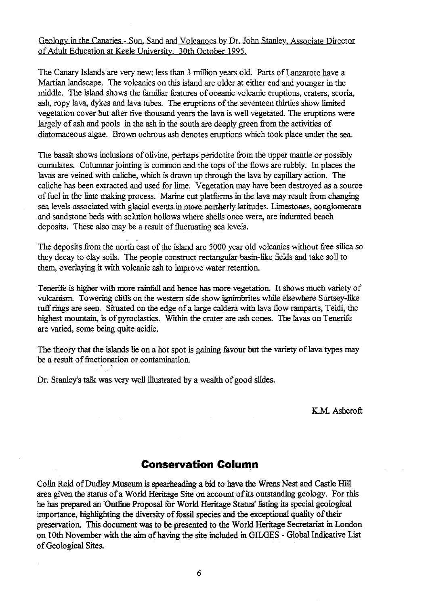## Geology in the Canaries - Sun, Sand and Volcanoes by Dr. John Stanley, Associate Director of Adult Education at Keele University. 30th October 1995.

The Canary Isl**an**ds are ve**ry** new; less than 3 million years old. Pa**rt**s of Lanzarote have a Martian l**an**dscape. The volcanics on this island are older at either end and younger in the middle. The island shows the familiar features of oceanic volcanic eruptions, craters, scoria, ash, **ropy** lava, dykes and lava tubes. The eruptions of the seventeen thirties show limited vegetation cover but a**ft**er five thousand years the lava is well vegetated. The eruptions were largely of ash and pools in the ash in the south are deeply green from the activities of diatomaceous algae. Brown ochrous ash denotes eruptions which took place under the sea.

The basalt shows inclusions of olivine, perhaps peridotite from the upper m**an**tle or possibly cumulates. Columnar jointing is common and the tops of the flows are rubbly. In places the lavas are veined with caliche, which is drawn up through the lava by capillary action. The caliche has been extracted and used for lime. Vegetation may have been destroyed as a source of fuel in the lime making process. Ma**ri**ne cut platforms in the lava may result **fr**om changing sea levels associated with glacial events in more northerly latitudes. Limestones, conglomerate and sandstone beds with solution hollows where shells once were, are indurated beach deposits. These also may be a result of fluctuating sea levels.

The deposits\_from the north east of the island are 5000 year old volcanics without free silica so they decay to clay soils. The people construct rectangular basin-like fields and take soil to them, overlaying it with vo**lc**anic ash to improve water retention.

Tenerife is higher with more rainfall and hence has more vegetation. It shows much variety of volcanism. Towering cliffs on the weste**rn** side show ignimbrites while elsewhere Surtsey-like tuff rings are seen. Situated on the edge of a large caldera with lava flow ramparts, Teidi, the highest mountain, is of pyroclastics. Within the crater are ash cones. The lavas on Tenerife are varied, some being quite acidic.

The theory that the islands lie on a hot spot is gaining favour but the variety of lava types may be a result of fractionation or contamination.

Dr. Stanley's talk was very well illustrated by a wealth of good slides.

K.M. Ashcroft

## Conservation Column

Colin Reid of Dudley Museum is spearheading a bid to have the Wrens Nest and Castle Hill area given the status of a World Heritage Site on account of its outstanding geology. For this he has prepared **an** 'Outline Proposal for World Heritage Status' listing its special geological importance, highlighting the diversity of fossil species and the exceptional quality of their preservation. This document was to **be** presented to the World Heritage Secretariat in London on 10th November with the aim of having the site included in GILGES - Global Indicative List of Geological Sites.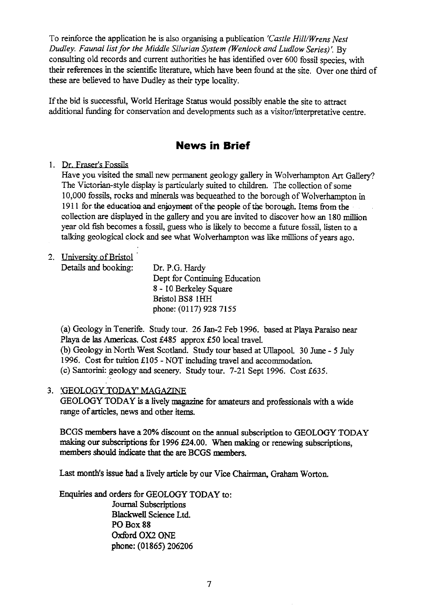To reinforce the application he is also organising a publication *'Castle Hill/Wrens Nest Dudley. Faunal list for the Middle Silurian System (Wenlock and Ludlow Series)'. By* consulting old records and current authorities he has identified over 600 fossil species, with their references in the scientific literature, which have been found at the site. Over one third of these are believed to have Dudley as their type locality.

If the bid is successful, World Heritage Status would possibly enable the site to attract additional funding for conservation and developments such as a visitor/interpretative centre.

## **News in Brief**

1. Dr. Fraser's Fossils

Have you visited the small new permanent geology gallery in Wolverhampton Art Gallery? The Victorian-style display is particularly suited to children. The collection of some 10,000 fossils, rocks and minerals was bequeathed to the borough of Wolverhampton in 1911 for the education and enjoyment of the people of the borough. Items from the collection are displayed in the gallery and you are invited to discover how an 180 million year old fish becomes a fossil, guess who is likely to become a future fossil, listen to a talking geological clock and see what Wolverhampton was like millions of years ago.

2. Universit<sup>y</sup> of Bristol

| Details and booking: | Dr. P.G. Hardy                |
|----------------------|-------------------------------|
|                      | Dept for Continuing Education |
|                      | 8 - 10 Berkeley Square        |
|                      | Bristol BS8 1HH               |
|                      | phone: (0117) 928 7155        |

(a) Geology in Tenerife. Study tour. 26 Jan-2 Feb 1996. based at Playa Paraiso near Playa de las Americas. Cost £485 approx £50 local travel. (b) Geology in North West Scotland. Study tour based at Ullapool. 30 June - 5 July 1996. Cost for tuition £105 - NOT including travel and accommodation. (c) Santorini: geology and scenery. Study tour. 7-21 Sept 1996. Cost £635.

### 3. 'GEOLOGY

GEOLOGY TODAY is a lively magazine for amateurs and professionals with a wide range of articles, news and other items.

BCGS members have a 20% discount on the annual subscription to GEOLOGY TODAY making our subscriptions for 1996 £24.00. When making or renewing subscriptions, members should indicate that the are BCGS members.

Last month's issue had a lively article by our Vice Chairman, Graham Worton.

Enquiries and orders for GEOLOGY TODAY to: Journal Subscriptions Blackwell Science Ltd. **PO Box 88 Oxford OX2 ONE** phone: (01865) 206206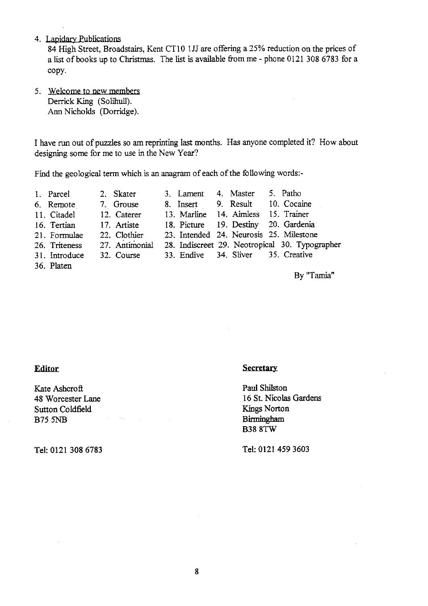4. Lapidary Publications

84 High Street, Broadstairs, Kent CT10 1JJ are offering a 25% reduction on the prices of a list of books up to Christmas. The list is available from me - phone 0121 308 6783 for a copy.

5. Welcome to new members Derrick King (Solihull). Ann Nicholds (Dorridge).

I have run out of puzzles so am reprinting last months. Has anyone completed it? How about designing some for me to use in the New Year?

Find the geological term which is an anagram of each of the following words:-

- 
- 1. Parcel 2. Skater 3. Lament 4. Master 5. Patho<br>6. Remote 2. Grouse 8. Insert 9. Result 10. Cocai 6. Remote 7. Grouse 8. Insert 9. Result 10. Cocaine 11. Citadel 12. Caterer 13. Marline 14. Aimless 15. Trainer
- 
- 11. Citadel 12. Caterer 13. Marline 14. Aimless 15. Trainer<br>16. Tertian 17. Artiste 18. Picture 19. Destiny 20. Gardenia
- 16. Tertian 17. Artiste 18. Picture 19. Destiny<br>21. Formulae 22. Clothier 23. Intended 24. Neurosis 22. Clothier 23. Intended 24. Neurosis 25. Milestone<br>27. Antimonial 28. Indiscreet 29. Neotropical 30. Typog
- 
- 26. Triteness 27. Antimonial 28. Indiscreet 29. Neotropical 30. Typographer 31. Introduce 32. Course 33. Endive 34. Sliver 35. Creative 31. Introduce
- 
- 36. Platen

By "Tamia"

### **Editor**

Kate Ashcroft Sutton Coldfield B75 **5NB** Birmingham

### **Secretary**

Paul Shilston 48 Worcester Lane 16 St. Nicolas Gardens<br>
Sutton Coldfield Kings Norton **B38** 8TW

Tel: 0121 **308 6783 Tel: 0121 459 3603**